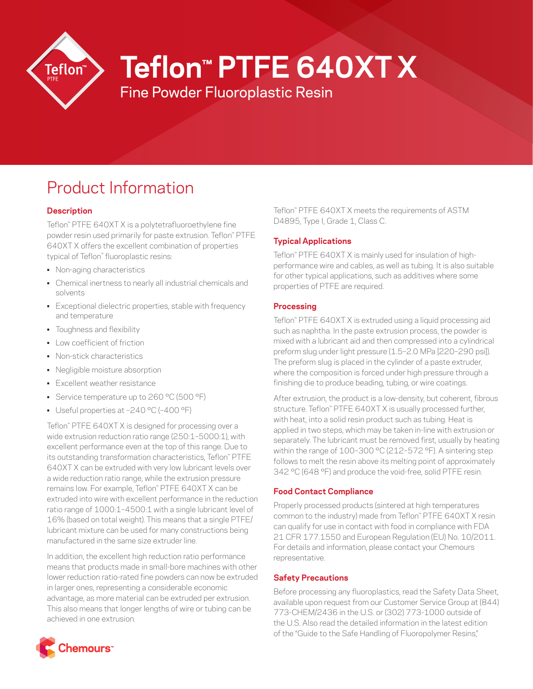

# **Teflon™ PTFE 640XT X**

Fine Powder Fluoroplastic Resin

# Product Information

# **Description**

Teflon™ PTFE 640XT X is a polytetrafluoroethylene fine powder resin used primarily for paste extrusion. Teflon™ PTFE 640XT X offers the excellent combination of properties typical of Teflon™ fluoroplastic resins:

- Non-aging characteristics
- Chemical inertness to nearly all industrial chemicals and solvents
- Exceptional dielectric properties, stable with frequency and temperature
- Toughness and flexibility
- Low coefficient of friction
- Non-stick characteristics
- Negligible moisture absorption
- Excellent weather resistance
- Service temperature up to 260 °C (500 °F)
- Useful properties at –240 °C (–400 °F)

Teflon™ PTFE 640XT X is designed for processing over a wide extrusion reduction ratio range (250:1–5000:1), with excellent performance even at the top of this range. Due to its outstanding transformation characteristics, Teflon™ PTFE 640XT X can be extruded with very low lubricant levels over a wide reduction ratio range, while the extrusion pressure remains low. For example, Teflon™ PTFE 640XT X can be extruded into wire with excellent performance in the reduction ratio range of 1000:1–4500:1 with a single lubricant level of 16% (based on total weight). This means that a single PTFE/ lubricant mixture can be used for many constructions being manufactured in the same size extruder line.

In addition, the excellent high reduction ratio performance means that products made in small-bore machines with other lower reduction ratio-rated fine powders can now be extruded in larger ones, representing a considerable economic advantage, as more material can be extruded per extrusion. This also means that longer lengths of wire or tubing can be achieved in one extrusion.

Teflon™ PTFE 640XT X meets the requirements of ASTM D4895, Type I, Grade 1, Class C.

# **Typical Applications**

Teflon™ PTFE 640XT X is mainly used for insulation of highperformance wire and cables, as well as tubing. It is also suitable for other typical applications, such as additives where some properties of PTFE are required.

## **Processing**

Teflon™ PTFE 640XT X is extruded using a liquid processing aid such as naphtha. In the paste extrusion process, the powder is mixed with a lubricant aid and then compressed into a cylindrical preform slug under light pressure (1.5–2.0 MPa [220–290 psi]). The preform slug is placed in the cylinder of a paste extruder, where the composition is forced under high pressure through a finishing die to produce beading, tubing, or wire coatings.

After extrusion, the product is a low-density, but coherent, fibrous structure. Teflon™ PTFE 640XT X is usually processed further, with heat, into a solid resin product such as tubing. Heat is applied in two steps, which may be taken in-line with extrusion or separately. The lubricant must be removed first, usually by heating within the range of 100–300 °C (212–572 °F). A sintering step follows to melt the resin above its melting point of approximately 342 °C (648 °F) and produce the void-free, solid PTFE resin.

## **Food Contact Compliance**

Properly processed products (sintered at high temperatures common to the industry) made from Teflon™ PTFE 640XT X resin can qualify for use in contact with food in compliance with FDA 21 CFR 177.1550 and European Regulation (EU) No. 10/2011. For details and information, please contact your Chemours representative.

# **Safety Precautions**

Before processing any fluoroplastics, read the Safety Data Sheet, available upon request from our Customer Service Group at (844) 773-CHEM/2436 in the U.S. or (302) 773-1000 outside of the U.S. Also read the detailed information in the latest edition of the "Guide to the Safe Handling of Fluoropolymer Resins,"